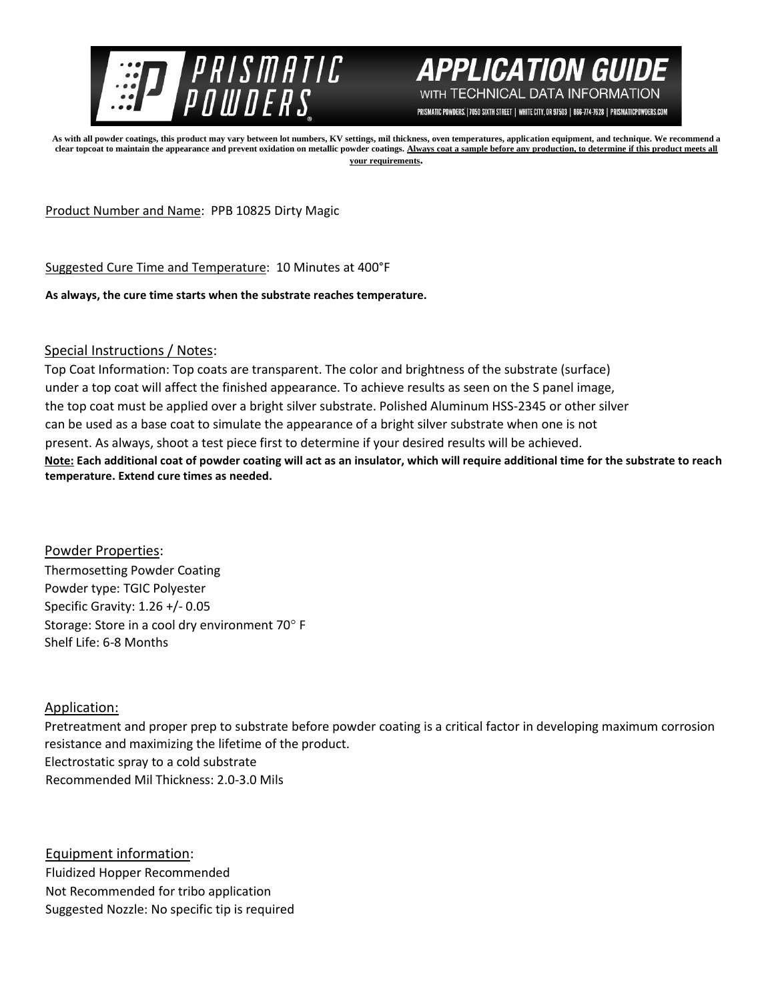



PRISMATIC POWDERS. | 7050 SIXTH STREET | WHITE CITY, OR 97503 | 866-774-7628 | PRISMATICPOWDERS.COM

**As with all powder coatings, this product may vary between lot numbers, KV settings, mil thickness, oven temperatures, application equipment, and technique. We recommend a clear topcoat to maintain the appearance and prevent oxidation on metallic powder coatings. Always coat a sample before any production, to determine if this product meets all your requirements.** 

Product Number and Name: PPB 10825 Dirty Magic

Suggested Cure Time and Temperature: 10 Minutes at 400°F

**As always, the cure time starts when the substrate reaches temperature.**

## Special Instructions / Notes:

Top Coat Information: Top coats are transparent. The color and brightness of the substrate (surface) under a top coat will affect the finished appearance. To achieve results as seen on the S panel image, the top coat must be applied over a bright silver substrate. Polished Aluminum HSS-2345 or other silver can be used as a base coat to simulate the appearance of a bright silver substrate when one is not present. As always, shoot a test piece first to determine if your desired results will be achieved. **Note: Each additional coat of powder coating will act as an insulator, which will require additional time for the substrate to reach temperature. Extend cure times as needed.** 

Powder Properties: Thermosetting Powder Coating Powder type: TGIC Polyester Specific Gravity: 1.26 +/- 0.05 Storage: Store in a cool dry environment 70° F Shelf Life: 6-8 Months

## Application:

Pretreatment and proper prep to substrate before powder coating is a critical factor in developing maximum corrosion resistance and maximizing the lifetime of the product. Electrostatic spray to a cold substrate Recommended Mil Thickness: 2.0-3.0 Mils

Equipment information: Fluidized Hopper Recommended Not Recommended for tribo application Suggested Nozzle: No specific tip is required